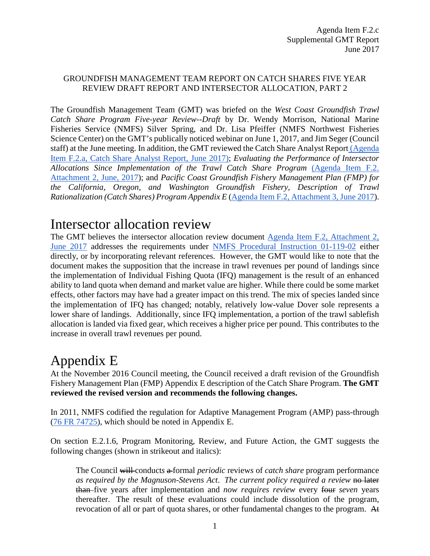#### GROUNDFISH MANAGEMENT TEAM REPORT ON CATCH SHARES FIVE YEAR REVIEW DRAFT REPORT AND INTERSECTOR ALLOCATION, PART 2

The Groundfish Management Team (GMT) was briefed on the *West Coast Groundfish Trawl Catch Share Program Five-year Review--Draft* by Dr. Wendy Morrison, National Marine Fisheries Service (NMFS) Silver Spring, and Dr. Lisa Pfeiffer (NMFS Northwest Fisheries Science Center) on the GMT's publically noticed webinar on June 1, 2017, and Jim Seger (Council staff) at the June meeting. In addition, the GMT reviewed the Catch Share Analyst Report [\(Agenda](http://www.pcouncil.org/wp-content/uploads/2017/05/F2a_CatchShareAnalystsReport_FullReport_ElectricOnly_Jun2017BB.pdf)  [Item F.2.a, Catch Share Analyst Report, June 2017\);](http://www.pcouncil.org/wp-content/uploads/2017/05/F2a_CatchShareAnalystsReport_FullReport_ElectricOnly_Jun2017BB.pdf) *Evaluating the Performance of Intersector Allocations Since Implementation of the Trawl Catch Share Program* [\(Agenda Item F.2.](http://www.pcouncil.org/wp-content/uploads/2017/05/F2_Att2_Am21Eval_JUN2017BB.pdf)  [Attachment 2, June, 2017\)](http://www.pcouncil.org/wp-content/uploads/2017/05/F2_Att2_Am21Eval_JUN2017BB.pdf); and *Pacific Coast Groundfish Fishery Management Plan (FMP) for the California, Oregon, and Washington Groundfish Fishery, Description of Trawl Rationalization (Catch Shares) Program Appendix E* [\(Agenda Item F.2, Attachment 3, June 2017\)](http://www.pcouncil.org/wp-content/uploads/2017/05/F2_Att3_GF_FMP_ApdxE_RevThruAug162016_Draft_JUN2017BB.pdf).

## Intersector allocation review

The GMT believes the intersector allocation review document [Agenda Item F.2, Attachment 2,](http://www.pcouncil.org/wp-content/uploads/2017/05/F2_Att2_Am21Eval_JUN2017BB.pdf)  [June 2017](http://www.pcouncil.org/wp-content/uploads/2017/05/F2_Att2_Am21Eval_JUN2017BB.pdf) addresses the requirements under [NMFS Procedural Instruction 01-119-02](http://www.nmfs.noaa.gov/op/pds/documents/01/119/01-119-02.pdf) either directly, or by incorporating relevant references. However, the GMT would like to note that the document makes the supposition that the increase in trawl revenues per pound of landings since the implementation of Individual Fishing Quota (IFQ) management is the result of an enhanced ability to land quota when demand and market value are higher. While there could be some market effects, other factors may have had a greater impact on this trend. The mix of species landed since the implementation of IFQ has changed; notably, relatively low-value Dover sole represents a lower share of landings. Additionally, since IFQ implementation, a portion of the trawl sablefish allocation is landed via fixed gear, which receives a higher price per pound. This contributes to the increase in overall trawl revenues per pound.

# Appendix E

At the November 2016 Council meeting, the Council received a draft revision of the Groundfish Fishery Management Plan (FMP) Appendix E description of the Catch Share Program. **The GMT reviewed the revised version and recommends the following changes.**

In 2011, NMFS codified the regulation for Adaptive Management Program (AMP) pass-through [\(76 FR 74725\)](https://www.federalregister.gov/documents/2011/12/01/2011-30734/fisheries-off-west-coast-states-pacific-coast-groundfish-fishery-management-plan-trawl), which should be noted in Appendix E.

On section E.2.1.6, Program Monitoring, Review, and Future Action, the GMT suggests the following changes (shown in strikeout and italics):

The Council will conduct*s* a formal *periodic* review*s* of *catch share* program performance *as required by the Magnuson-Stevens Act*. *The current policy required a review* no later than five years after implementation and *now requires review* every four *seven* years thereafter. The result of the*se* evaluation*s* could include dissolution of the program, revocation of all or part of quota shares, or other fundamental changes to the program. At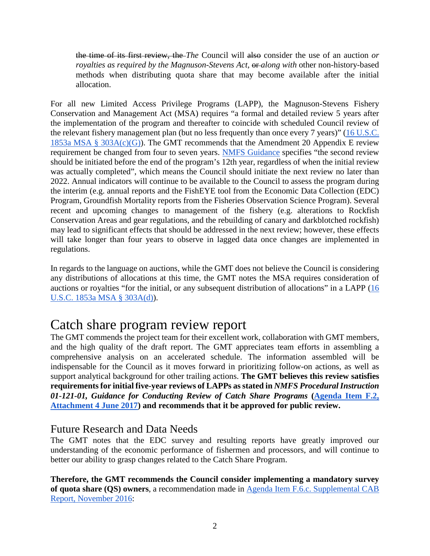the time of its first review, the *The* Council will also consider the use of an auction *or royalties as required by the Magnuson-Stevens Act*,  $\theta$ *ralong with other non-history-based* method*s* when distributing quota share that may become available after the initial allocation.

For all new Limited Access Privilege Programs (LAPP), the Magnuson-Stevens Fishery Conservation and Management Act (MSA) requires "a formal and detailed review 5 years after the implementation of the program and thereafter to coincide with scheduled Council review of the relevant fishery management plan (but no less frequently than once every 7 years)" [\(16 U.S.C.](http://www.nmfs.noaa.gov/sfa/laws_policies/msa/documents/msa_amended_2007.pdf)  [1853a MSA § 303A\(c\)\(G\)\)](http://www.nmfs.noaa.gov/sfa/laws_policies/msa/documents/msa_amended_2007.pdf). The GMT recommends that the Amendment 20 Appendix E review requirement be changed from four to seven years. [NMFS Guidance](http://www.pcouncil.org/wp-content/uploads/2017/05/F2_Att4_Catch_Share_Review_Guidance_01-121-01_Jun2017BB.pdf) specifies "the second review should be initiated before the end of the program's 12th year, regardless of when the initial review was actually completed", which means the Council should initiate the next review no later than 2022. Annual indicators will continue to be available to the Council to assess the program during the interim (e.g. annual reports and the FishEYE tool from the Economic Data Collection (EDC) Program, Groundfish Mortality reports from the Fisheries Observation Science Program). Several recent and upcoming changes to management of the fishery (e.g. alterations to Rockfish Conservation Areas and gear regulations, and the rebuilding of canary and darkblotched rockfish) may lead to significant effects that should be addressed in the next review; however, these effects will take longer than four years to observe in lagged data once changes are implemented in regulations.

In regards to the language on auctions, while the GMT does not believe the Council is considering any distributions of allocations at this time, the GMT notes the MSA requires consideration of auctions or royalties "for the initial, or any subsequent distribution of allocations" in a LAPP [\(16](http://www.nmfs.noaa.gov/sfa/laws_policies/msa/documents/msa_amended_2007.pdf)  [U.S.C. 1853a MSA § 303A\(d\)\)](http://www.nmfs.noaa.gov/sfa/laws_policies/msa/documents/msa_amended_2007.pdf).

## Catch share program review report

The GMT commends the project team for their excellent work, collaboration with GMT members, and the high quality of the draft report. The GMT appreciates team efforts in assembling a comprehensive analysis on an accelerated schedule. The information assembled will be indispensable for the Council as it moves forward in prioritizing follow-on actions, as well as support analytical background for other trailing actions. **The GMT believes this review satisfies requirements for initial five-year reviews of LAPPs as stated in** *NMFS Procedural Instruction 01-121-01, Guidance for Conducting Review of Catch Share Programs* **[\(Agenda Item F.2,](http://www.pcouncil.org/wp-content/uploads/2017/05/F2_Att4_Catch_Share_Review_Guidance_01-121-01_Jun2017BB.pdf)  [Attachment 4 June 2017\)](http://www.pcouncil.org/wp-content/uploads/2017/05/F2_Att4_Catch_Share_Review_Guidance_01-121-01_Jun2017BB.pdf) and recommends that it be approved for public review.** 

### Future Research and Data Needs

The GMT notes that the EDC survey and resulting reports have greatly improved our understanding of the economic performance of fishermen and processors, and will continue to better our ability to grasp changes related to the Catch Share Program.

**Therefore, the GMT recommends the Council consider implementing a mandatory survey of quota share (QS) owners**, a recommendation made in [Agenda Item F.6.c. Supplemental CAB](http://www.pcouncil.org/wp-content/uploads/2016/11/F6c_Sup_CAB_Rpt_NOV2016BB.pdf)  [Report, November 2016:](http://www.pcouncil.org/wp-content/uploads/2016/11/F6c_Sup_CAB_Rpt_NOV2016BB.pdf)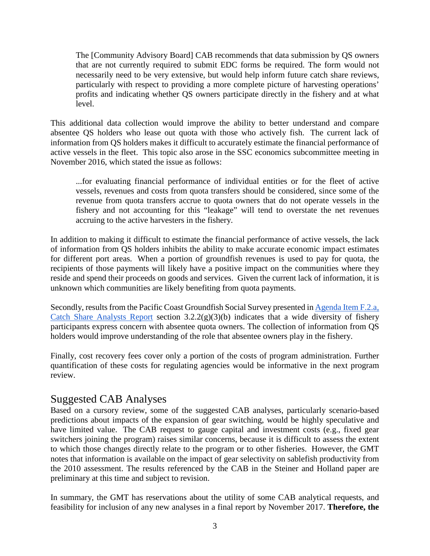The [Community Advisory Board] CAB recommends that data submission by QS owners that are not currently required to submit EDC forms be required. The form would not necessarily need to be very extensive, but would help inform future catch share reviews, particularly with respect to providing a more complete picture of harvesting operations' profits and indicating whether QS owners participate directly in the fishery and at what level.

This additional data collection would improve the ability to better understand and compare absentee QS holders who lease out quota with those who actively fish. The current lack of information from QS holders makes it difficult to accurately estimate the financial performance of active vessels in the fleet. This topic also arose in the SSC economics subcommittee meeting in November 2016, which stated the issue as follows:

...for evaluating financial performance of individual entities or for the fleet of active vessels, revenues and costs from quota transfers should be considered, since some of the revenue from quota transfers accrue to quota owners that do not operate vessels in the fishery and not accounting for this "leakage" will tend to overstate the net revenues accruing to the active harvesters in the fishery.

In addition to making it difficult to estimate the financial performance of active vessels, the lack of information from QS holders inhibits the ability to make accurate economic impact estimates for different port areas. When a portion of groundfish revenues is used to pay for quota, the recipients of those payments will likely have a positive impact on the communities where they reside and spend their proceeds on goods and services. Given the current lack of information, it is unknown which communities are likely benefiting from quota payments.

Secondly, results from the Pacific Coast Groundfish Social Survey presented in Agenda Item F.2.a, [Catch Share Analysts Report](http://www.pcouncil.org/wp-content/uploads/2017/05/F2a_CatchShareAnalystsReport_FullReport_ElectricOnly_Jun2017BB.pdf) section  $3.2.2(g)(3)(b)$  indicates that a wide diversity of fishery participants express concern with absentee quota owners. The collection of information from QS holders would improve understanding of the role that absentee owners play in the fishery.

Finally, cost recovery fees cover only a portion of the costs of program administration. Further quantification of these costs for regulating agencies would be informative in the next program review.

### Suggested CAB Analyses

Based on a cursory review, some of the suggested CAB analyses, particularly scenario-based predictions about impacts of the expansion of gear switching, would be highly speculative and have limited value. The CAB request to gauge capital and investment costs (e.g., fixed gear switchers joining the program) raises similar concerns, because it is difficult to assess the extent to which those changes directly relate to the program or to other fisheries. However, the GMT notes that information is available on the impact of gear selectivity on sablefish productivity from the 2010 assessment. The results referenced by the CAB in the Steiner and Holland paper are preliminary at this time and subject to revision.

In summary, the GMT has reservations about the utility of some CAB analytical requests, and feasibility for inclusion of any new analyses in a final report by November 2017. **Therefore, the**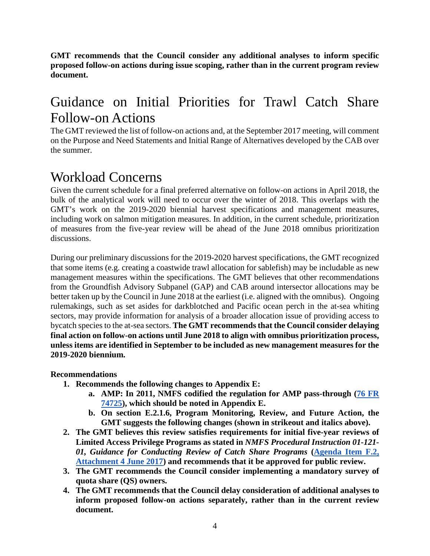**GMT recommends that the Council consider any additional analyses to inform specific proposed follow-on actions during issue scoping, rather than in the current program review document.** 

# Guidance on Initial Priorities for Trawl Catch Share Follow-on Actions

The GMT reviewed the list of follow-on actions and, at the September 2017 meeting, will comment on the Purpose and Need Statements and Initial Range of Alternatives developed by the CAB over the summer.

## Workload Concerns

Given the current schedule for a final preferred alternative on follow-on actions in April 2018, the bulk of the analytical work will need to occur over the winter of 2018. This overlaps with the GMT's work on the 2019-2020 biennial harvest specifications and management measures, including work on salmon mitigation measures. In addition, in the current schedule, prioritization of measures from the five-year review will be ahead of the June 2018 omnibus prioritization discussions.

During our preliminary discussions for the 2019-2020 harvest specifications, the GMT recognized that some items (e.g. creating a coastwide trawl allocation for sablefish) may be includable as new management measures within the specifications. The GMT believes that other recommendations from the Groundfish Advisory Subpanel (GAP) and CAB around intersector allocations may be better taken up by the Council in June 2018 at the earliest (i.e. aligned with the omnibus). Ongoing rulemakings, such as set asides for darkblotched and Pacific ocean perch in the at-sea whiting sectors, may provide information for analysis of a broader allocation issue of providing access to bycatch species to the at-sea sectors. **The GMT recommends that the Council consider delaying final action on follow-on actions until June 2018 to align with omnibus prioritization process, unless items are identified in September to be included as new management measures for the 2019-2020 biennium.**

#### **Recommendations**

- **1. Recommends the following changes to Appendix E:**
	- **a. AMP: In 2011, NMFS codified the regulation for AMP pass-through [\(76 FR](https://www.federalregister.gov/documents/2011/12/01/2011-30734/fisheries-off-west-coast-states-pacific-coast-groundfish-fishery-management-plan-trawl)  [74725\)](https://www.federalregister.gov/documents/2011/12/01/2011-30734/fisheries-off-west-coast-states-pacific-coast-groundfish-fishery-management-plan-trawl), which should be noted in Appendix E.**
	- **b. On section E.2.1.6, Program Monitoring, Review, and Future Action, the GMT suggests the following changes (shown in strikeout and italics above).**
- **2. The GMT believes this review satisfies requirements for initial five-year reviews of Limited Access Privilege Programs as stated in** *NMFS Procedural Instruction 01-121- 01, Guidance for Conducting Review of Catch Share Programs* **[\(Agenda Item F.2,](http://www.pcouncil.org/wp-content/uploads/2017/05/F2_Att4_Catch_Share_Review_Guidance_01-121-01_Jun2017BB.pdf)  [Attachment 4 June 2017\)](http://www.pcouncil.org/wp-content/uploads/2017/05/F2_Att4_Catch_Share_Review_Guidance_01-121-01_Jun2017BB.pdf) and recommends that it be approved for public review.**
- **3. The GMT recommends the Council consider implementing a mandatory survey of quota share (QS) owners.**
- **4. The GMT recommends that the Council delay consideration of additional analyses to inform proposed follow-on actions separately, rather than in the current review document.**